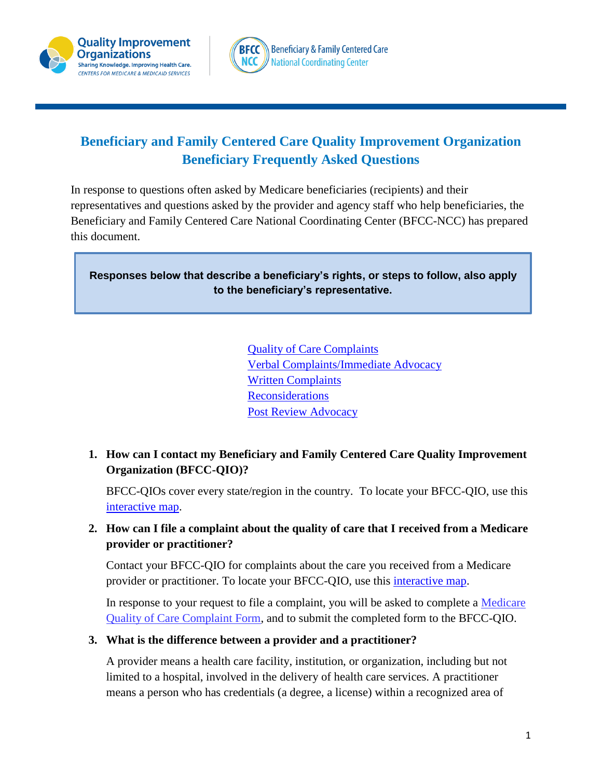

# **Beneficiary and Family Centered Care Quality Improvement Organization Beneficiary Frequently Asked Questions**

In response to questions often asked by Medicare beneficiaries (recipients) and their representatives and questions asked by the provider and agency staff who help beneficiaries, the Beneficiary and Family Centered Care National Coordinating Center (BFCC-NCC) has prepared this document.

**Responses below that describe a beneficiary's rights, or steps to follow, also apply to the beneficiary's representative.**

> [Quality of Care Complaints](#page-0-0) [Verbal Complaints/Immediate Advocacy](#page-1-0) **[Written Complaints](#page-3-0) [Reconsiderations](#page-4-0)** [Post Review Advocacy](#page-5-0)

<span id="page-0-0"></span>**1. How can I contact my Beneficiary and Family Centered Care Quality Improvement Organization (BFCC-QIO)?**

BFCC-QIOs cover every state/region in the country. To locate your BFCC-QIO, use this [interactive map.](http://www.qioprogram.org/contact-zones)

### **2. How can I file a complaint about the quality of care that I received from a Medicare provider or practitioner?**

Contact your BFCC-QIO for complaints about the care you received from a Medicare provider or practitioner. To locate your BFCC-QIO, use this *interactive map*.

In response to your request to file a complaint, you will be asked to complete a [Medicare](http://www.cms.gov/Medicare/CMS-Forms/CMS-Forms/downloads/cms10287.pdf)  [Quality of Care Complaint Form,](http://www.cms.gov/Medicare/CMS-Forms/CMS-Forms/downloads/cms10287.pdf) and to submit the completed form to the BFCC-QIO.

### **3. What is the difference between a provider and a practitioner?**

A provider means a health care facility, institution, or organization, including but not limited to a hospital, involved in the delivery of health care services. A practitioner means a person who has credentials (a degree, a license) within a recognized area of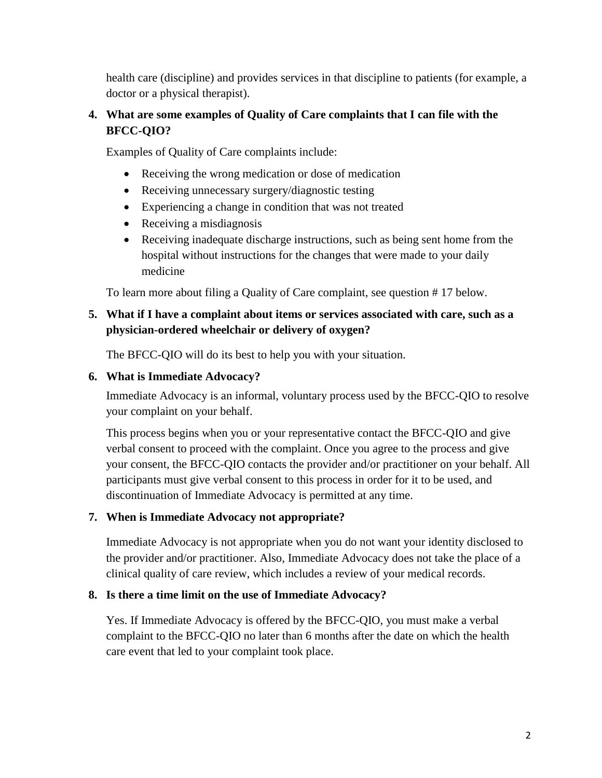health care (discipline) and provides services in that discipline to patients (for example, a doctor or a physical therapist).

# **4. What are some examples of Quality of Care complaints that I can file with the BFCC-QIO?**

Examples of Quality of Care complaints include:

- Receiving the wrong medication or dose of medication
- Receiving unnecessary surgery/diagnostic testing
- Experiencing a change in condition that was not treated
- Receiving a misdiagnosis
- Receiving inadequate discharge instructions, such as being sent home from the hospital without instructions for the changes that were made to your daily medicine

To learn more about filing a Quality of Care complaint, see question # 17 below.

### **5. What if I have a complaint about items or services associated with care, such as a physician-ordered wheelchair or delivery of oxygen?**

The BFCC-QIO will do its best to help you with your situation.

### <span id="page-1-0"></span>**6. What is Immediate Advocacy?**

Immediate Advocacy is an informal, voluntary process used by the BFCC-QIO to resolve your complaint on your behalf.

This process begins when you or your representative contact the BFCC-QIO and give verbal consent to proceed with the complaint. Once you agree to the process and give your consent, the BFCC-QIO contacts the provider and/or practitioner on your behalf. All participants must give verbal consent to this process in order for it to be used, and discontinuation of Immediate Advocacy is permitted at any time.

# **7. When is Immediate Advocacy not appropriate?**

Immediate Advocacy is not appropriate when you do not want your identity disclosed to the provider and/or practitioner. Also, Immediate Advocacy does not take the place of a clinical quality of care review, which includes a review of your medical records.

# **8. Is there a time limit on the use of Immediate Advocacy?**

Yes. If Immediate Advocacy is offered by the BFCC-QIO, you must make a verbal complaint to the BFCC-QIO no later than 6 months after the date on which the health care event that led to your complaint took place.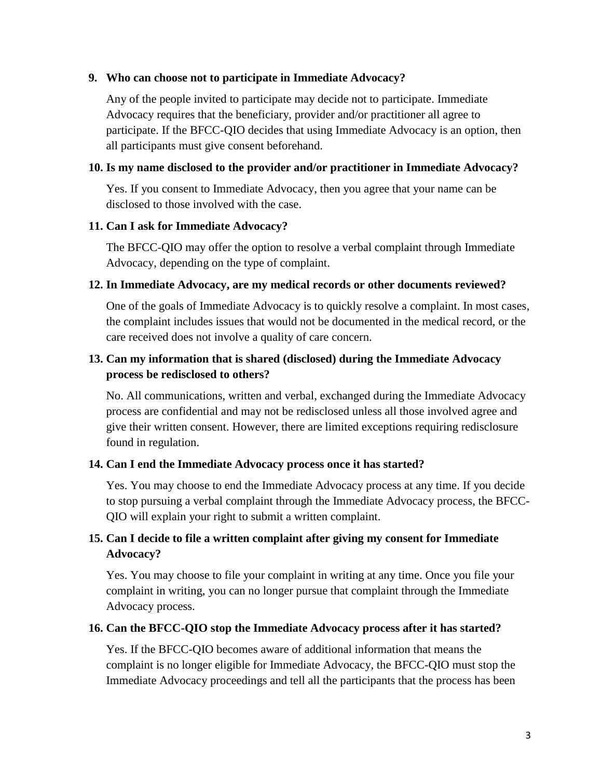#### **9. Who can choose not to participate in Immediate Advocacy?**

Any of the people invited to participate may decide not to participate. Immediate Advocacy requires that the beneficiary, provider and/or practitioner all agree to participate. If the BFCC-QIO decides that using Immediate Advocacy is an option, then all participants must give consent beforehand.

#### **10. Is my name disclosed to the provider and/or practitioner in Immediate Advocacy?**

Yes. If you consent to Immediate Advocacy, then you agree that your name can be disclosed to those involved with the case.

#### **11. Can I ask for Immediate Advocacy?**

The BFCC-QIO may offer the option to resolve a verbal complaint through Immediate Advocacy, depending on the type of complaint.

#### **12. In Immediate Advocacy, are my medical records or other documents reviewed?**

One of the goals of Immediate Advocacy is to quickly resolve a complaint. In most cases, the complaint includes issues that would not be documented in the medical record, or the care received does not involve a quality of care concern.

# **13. Can my information that is shared (disclosed) during the Immediate Advocacy process be redisclosed to others?**

No. All communications, written and verbal, exchanged during the Immediate Advocacy process are confidential and may not be redisclosed unless all those involved agree and give their written consent. However, there are limited exceptions requiring redisclosure found in regulation.

### **14. Can I end the Immediate Advocacy process once it has started?**

Yes. You may choose to end the Immediate Advocacy process at any time. If you decide to stop pursuing a verbal complaint through the Immediate Advocacy process, the BFCC-QIO will explain your right to submit a written complaint.

# **15. Can I decide to file a written complaint after giving my consent for Immediate Advocacy?**

Yes. You may choose to file your complaint in writing at any time. Once you file your complaint in writing, you can no longer pursue that complaint through the Immediate Advocacy process.

#### **16. Can the BFCC-QIO stop the Immediate Advocacy process after it has started?**

Yes. If the BFCC-QIO becomes aware of additional information that means the complaint is no longer eligible for Immediate Advocacy, the BFCC-QIO must stop the Immediate Advocacy proceedings and tell all the participants that the process has been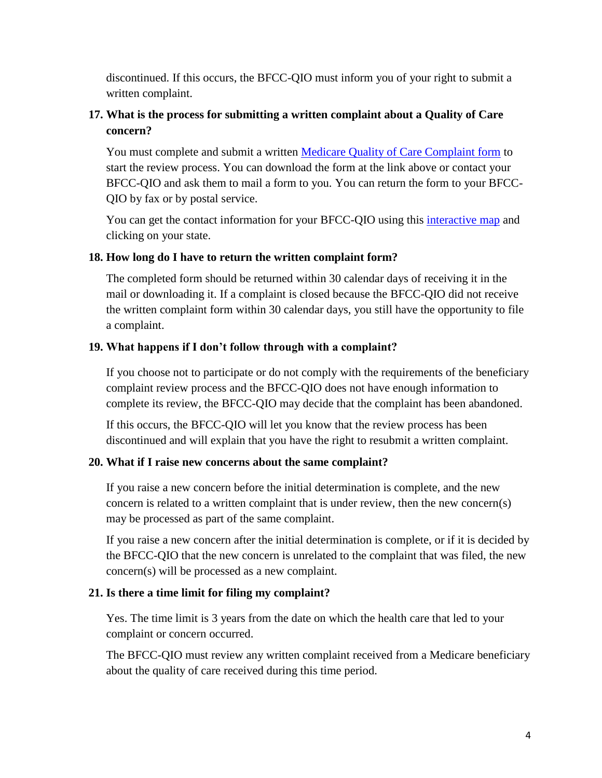discontinued. If this occurs, the BFCC-QIO must inform you of your right to submit a written complaint.

# <span id="page-3-0"></span>**17. What is the process for submitting a written complaint about a Quality of Care concern?**

You must complete and submit a written [Medicare Quality of Care Complaint form](https://www.cms.gov/Medicare/CMS-forms/CMS-forms/downloads/cms10287.pdf) to start the review process. You can download the form at the link above or contact your BFCC-QIO and ask them to mail a form to you. You can return the form to your BFCC-QIO by fax or by postal service.

You can get the contact information for your BFCC-QIO using this *[interactive map](http://www.qioprogram.org/contact-zones)* and clicking on your state.

### **18. How long do I have to return the written complaint form?**

The completed form should be returned within 30 calendar days of receiving it in the mail or downloading it. If a complaint is closed because the BFCC-QIO did not receive the written complaint form within 30 calendar days, you still have the opportunity to file a complaint.

### **19. What happens if I don't follow through with a complaint?**

If you choose not to participate or do not comply with the requirements of the beneficiary complaint review process and the BFCC-QIO does not have enough information to complete its review, the BFCC-QIO may decide that the complaint has been abandoned.

If this occurs, the BFCC-QIO will let you know that the review process has been discontinued and will explain that you have the right to resubmit a written complaint.

### **20. What if I raise new concerns about the same complaint?**

If you raise a new concern before the initial determination is complete, and the new concern is related to a written complaint that is under review, then the new concern(s) may be processed as part of the same complaint.

If you raise a new concern after the initial determination is complete, or if it is decided by the BFCC-QIO that the new concern is unrelated to the complaint that was filed, the new concern(s) will be processed as a new complaint.

### **21. Is there a time limit for filing my complaint?**

Yes. The time limit is 3 years from the date on which the health care that led to your complaint or concern occurred.

The BFCC-QIO must review any written complaint received from a Medicare beneficiary about the quality of care received during this time period.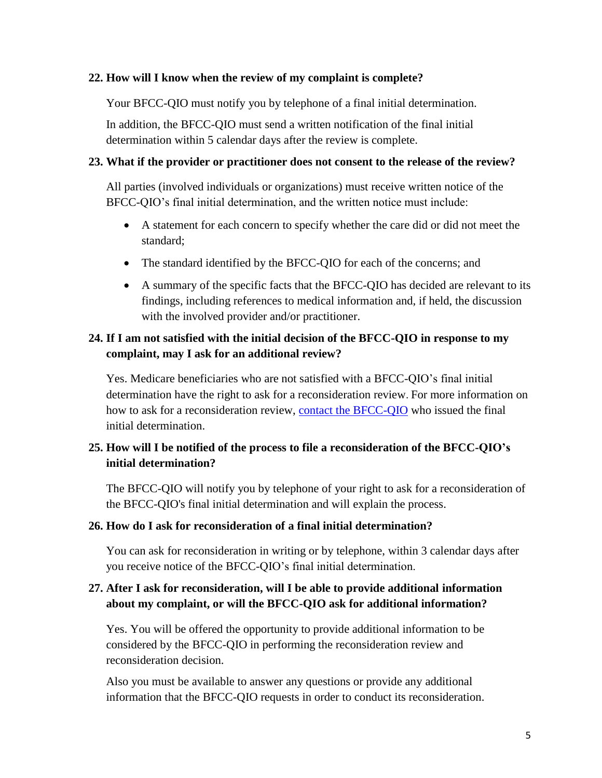#### **22. How will I know when the review of my complaint is complete?**

Your BFCC-QIO must notify you by telephone of a final initial determination.

In addition, the BFCC-QIO must send a written notification of the final initial determination within 5 calendar days after the review is complete.

#### **23. What if the provider or practitioner does not consent to the release of the review?**

All parties (involved individuals or organizations) must receive written notice of the BFCC-QIO's final initial determination, and the written notice must include:

- A statement for each concern to specify whether the care did or did not meet the standard;
- The standard identified by the BFCC-QIO for each of the concerns; and
- A summary of the specific facts that the BFCC-QIO has decided are relevant to its findings, including references to medical information and, if held, the discussion with the involved provider and/or practitioner.

# <span id="page-4-0"></span>**24. If I am not satisfied with the initial decision of the BFCC-QIO in response to my complaint, may I ask for an additional review?**

Yes. Medicare beneficiaries who are not satisfied with a BFCC-QIO's final initial determination have the right to ask for a reconsideration review. For more information on how to ask for a reconsideration review, [contact the BFCC-QIO](http://www.qioprogram.org/contact-zones) who issued the final initial determination.

# **25. How will I be notified of the process to file a reconsideration of the BFCC-QIO's initial determination?**

The BFCC-QIO will notify you by telephone of your right to ask for a reconsideration of the BFCC-QIO's final initial determination and will explain the process.

#### **26. How do I ask for reconsideration of a final initial determination?**

You can ask for reconsideration in writing or by telephone, within 3 calendar days after you receive notice of the BFCC-QIO's final initial determination.

### **27. After I ask for reconsideration, will I be able to provide additional information about my complaint, or will the BFCC-QIO ask for additional information?**

Yes. You will be offered the opportunity to provide additional information to be considered by the BFCC-QIO in performing the reconsideration review and reconsideration decision.

Also you must be available to answer any questions or provide any additional information that the BFCC-QIO requests in order to conduct its reconsideration.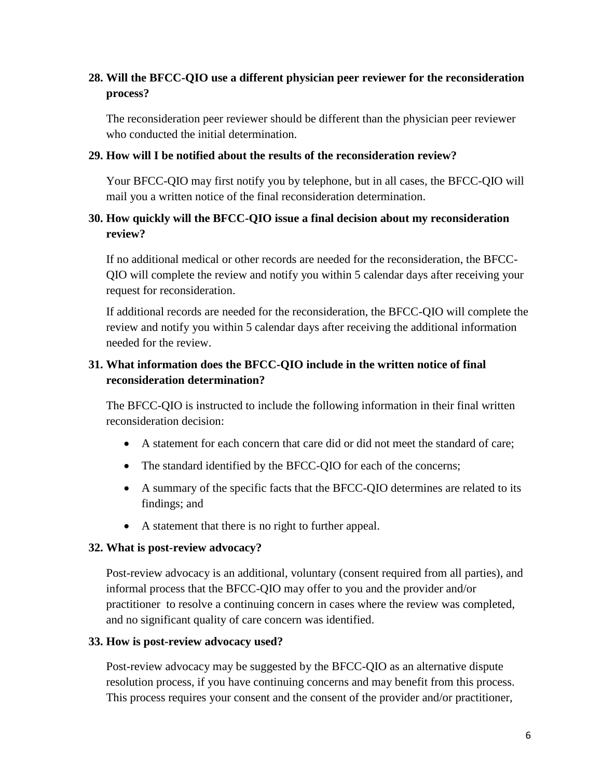# **28. Will the BFCC-QIO use a different physician peer reviewer for the reconsideration process?**

The reconsideration peer reviewer should be different than the physician peer reviewer who conducted the initial determination.

#### **29. How will I be notified about the results of the reconsideration review?**

Your BFCC-QIO may first notify you by telephone, but in all cases, the BFCC-QIO will mail you a written notice of the final reconsideration determination.

### **30. How quickly will the BFCC-QIO issue a final decision about my reconsideration review?**

If no additional medical or other records are needed for the reconsideration, the BFCC-QIO will complete the review and notify you within 5 calendar days after receiving your request for reconsideration.

If additional records are needed for the reconsideration, the BFCC-QIO will complete the review and notify you within 5 calendar days after receiving the additional information needed for the review.

# **31. What information does the BFCC-QIO include in the written notice of final reconsideration determination?**

The BFCC-QIO is instructed to include the following information in their final written reconsideration decision:

- A statement for each concern that care did or did not meet the standard of care;
- The standard identified by the BFCC-OIO for each of the concerns;
- A summary of the specific facts that the BFCC-QIO determines are related to its findings; and
- A statement that there is no right to further appeal.

#### <span id="page-5-0"></span>**32. What is post-review advocacy?**

Post-review advocacy is an additional, voluntary (consent required from all parties), and informal process that the BFCC-QIO may offer to you and the provider and/or practitioner to resolve a continuing concern in cases where the review was completed, and no significant quality of care concern was identified.

#### **33. How is post-review advocacy used?**

Post-review advocacy may be suggested by the BFCC-QIO as an alternative dispute resolution process, if you have continuing concerns and may benefit from this process. This process requires your consent and the consent of the provider and/or practitioner,